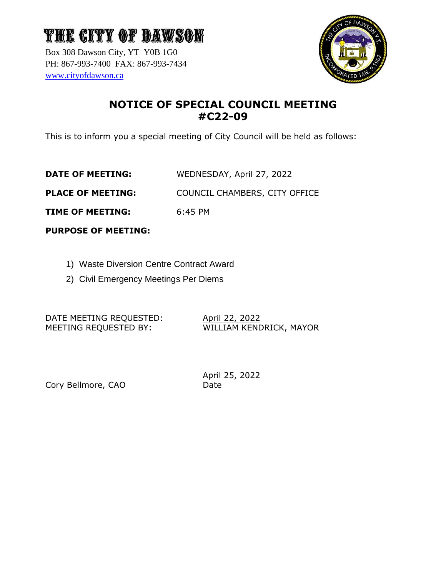# THE CITY OF DAWSON

Box 308 Dawson City, YT Y0B 1G0 PH: 867-993-7400 FAX: 867-993-7434 [www.cityofdawson.ca](http://www.cityofdawson.ca/)



## **NOTICE OF SPECIAL COUNCIL MEETING #C22-09**

This is to inform you a special meeting of City Council will be held as follows:

**DATE OF MEETING:** WEDNESDAY, April 27, 2022

**PLACE OF MEETING:** COUNCIL CHAMBERS, CITY OFFICE

**TIME OF MEETING:** 6:45 PM

**PURPOSE OF MEETING:**

- 1) Waste Diversion Centre Contract Award
- 2) Civil Emergency Meetings Per Diems

DATE MEETING REQUESTED: April 22, 2022 MEETING REQUESTED BY: WILLIAM KENDRICK, MAYOR

Cory Bellmore, CAO Date

April 25, 2022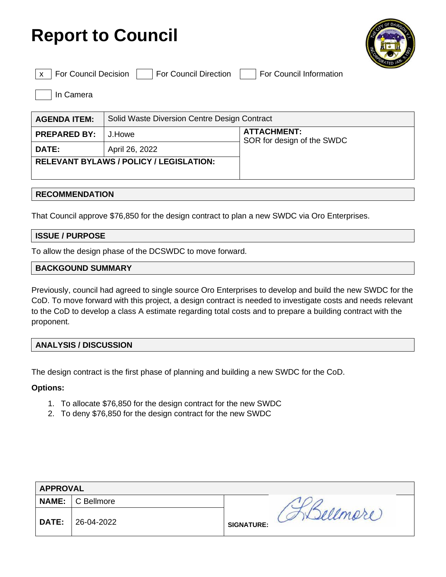



|--|

For Council Decision | For Council Direction | For Council Information

In Camera

| <b>AGENDA ITEM:</b>                            | Solid Waste Diversion Centre Design Contract |                                                  |
|------------------------------------------------|----------------------------------------------|--------------------------------------------------|
| <b>PREPARED BY:</b>                            | J.Howe                                       | <b>ATTACHMENT:</b><br>SOR for design of the SWDC |
| <b>DATE:</b>                                   | April 26, 2022                               |                                                  |
| <b>RELEVANT BYLAWS / POLICY / LEGISLATION:</b> |                                              |                                                  |
|                                                |                                              |                                                  |

#### **RECOMMENDATION**

That Council approve \$76,850 for the design contract to plan a new SWDC via Oro Enterprises.

#### **ISSUE / PURPOSE**

To allow the design phase of the DCSWDC to move forward.

#### **BACKGOUND SUMMARY**

Previously, council had agreed to single source Oro Enterprises to develop and build the new SWDC for the CoD. To move forward with this project, a design contract is needed to investigate costs and needs relevant to the CoD to develop a class A estimate regarding total costs and to prepare a building contract with the proponent.

#### **ANALYSIS / DISCUSSION**

The design contract is the first phase of planning and building a new SWDC for the CoD.

#### **Options:**

- 1. To allocate \$76,850 for the design contract for the new SWDC
- 2. To deny \$76,850 for the design contract for the new SWDC

|              | <b>APPROVAL</b> |                                                   |  |  |
|--------------|-----------------|---------------------------------------------------|--|--|
| <b>NAME:</b> | C Bellmore      |                                                   |  |  |
| <b>DATE:</b> | 26-04-2022      | $\mathcal{D}^{\prime\prime}$<br><b>SIGNATURE:</b> |  |  |